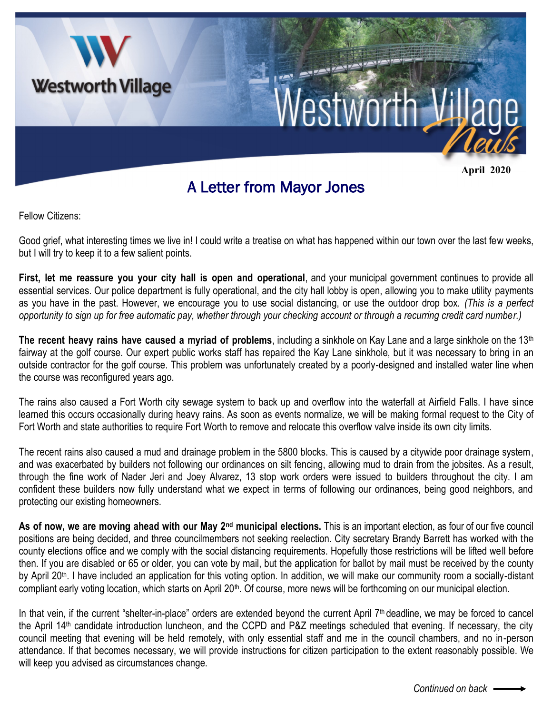

Fellow Citizens:

Good grief, what interesting times we live in! I could write a treatise on what has happened within our town over the last few weeks, but I will try to keep it to a few salient points.

**First, let me reassure you your city hall is open and operational**, and your municipal government continues to provide all essential services. Our police department is fully operational, and the city hall lobby is open, allowing you to make utility payments as you have in the past. However, we encourage you to use social distancing, or use the outdoor drop box. *(This is a perfect opportunity to sign up for free automatic pay, whether through your checking account or through a recurring credit card number.)*

**The recent heavy rains have caused a myriad of problems**, including a sinkhole on Kay Lane and a large sinkhole on the 13th fairway at the golf course. Our expert public works staff has repaired the Kay Lane sinkhole, but it was necessary to bring in an outside contractor for the golf course. This problem was unfortunately created by a poorly-designed and installed water line when the course was reconfigured years ago.

The rains also caused a Fort Worth city sewage system to back up and overflow into the waterfall at Airfield Falls. I have since learned this occurs occasionally during heavy rains. As soon as events normalize, we will be making formal request to the City of Fort Worth and state authorities to require Fort Worth to remove and relocate this overflow valve inside its own city limits.

The recent rains also caused a mud and drainage problem in the 5800 blocks. This is caused by a citywide poor drainage system, and was exacerbated by builders not following our ordinances on silt fencing, allowing mud to drain from the jobsites. As a result, through the fine work of Nader Jeri and Joey Alvarez, 13 stop work orders were issued to builders throughout the city. I am confident these builders now fully understand what we expect in terms of following our ordinances, being good neighbors, and protecting our existing homeowners.

**As of now, we are moving ahead with our May 2nd municipal elections.** This is an important election, as four of our five council positions are being decided, and three councilmembers not seeking reelection. City secretary Brandy Barrett has worked with the county elections office and we comply with the social distancing requirements. Hopefully those restrictions will be lifted well before then. If you are disabled or 65 or older, you can vote by mail, but the application for ballot by mail must be received by the county by April 20<sup>th</sup>. I have included an application for this voting option. In addition, we will make our community room a socially-distant compliant early voting location, which starts on April 20<sup>th</sup>. Of course, more news will be forthcoming on our municipal election.

In that vein, if the current "shelter-in-place" orders are extended beyond the current April  $7<sup>th</sup>$  deadline, we may be forced to cancel the April 14th candidate introduction luncheon, and the CCPD and P&Z meetings scheduled that evening. If necessary, the city council meeting that evening will be held remotely, with only essential staff and me in the council chambers, and no in-person attendance. If that becomes necessary, we will provide instructions for citizen participation to the extent reasonably possible. We will keep you advised as circumstances change.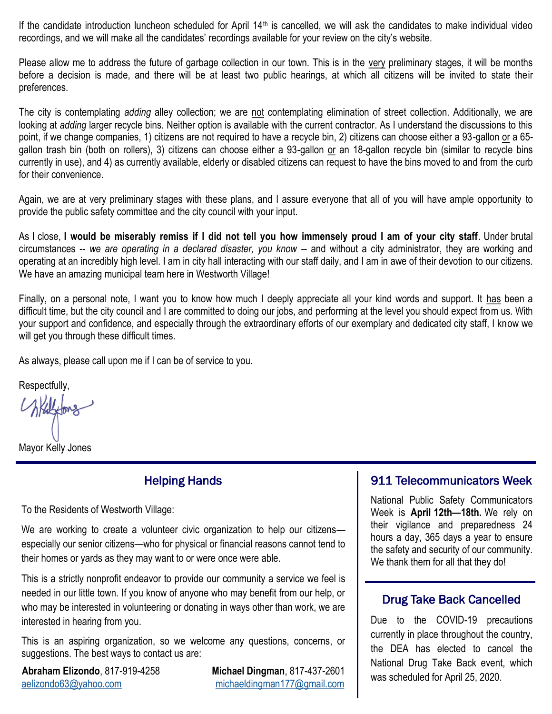If the candidate introduction luncheon scheduled for April  $14<sup>th</sup>$  is cancelled, we will ask the candidates to make individual video recordings, and we will make all the candidates' recordings available for your review on the city's website.

Please allow me to address the future of garbage collection in our town. This is in the very preliminary stages, it will be months before a decision is made, and there will be at least two public hearings, at which all citizens will be invited to state their preferences.

The city is contemplating *adding* alley collection; we are not contemplating elimination of street collection. Additionally, we are looking at *adding* larger recycle bins. Neither option is available with the current contractor. As I understand the discussions to this point, if we change companies, 1) citizens are not required to have a recycle bin, 2) citizens can choose either a 93-gallon or a 65 gallon trash bin (both on rollers), 3) citizens can choose either a 93-gallon or an 18-gallon recycle bin (similar to recycle bins currently in use), and 4) as currently available, elderly or disabled citizens can request to have the bins moved to and from the curb for their convenience.

Again, we are at very preliminary stages with these plans, and I assure everyone that all of you will have ample opportunity to provide the public safety committee and the city council with your input.

As I close, **I would be miserably remiss if I did not tell you how immensely proud I am of your city staff**. Under brutal circumstances -- *we are operating in a declared disaster, you know* -- and without a city administrator, they are working and operating at an incredibly high level. I am in city hall interacting with our staff daily, and I am in awe of their devotion to our citizens. We have an amazing municipal team here in Westworth Village!

Finally, on a personal note, I want you to know how much I deeply appreciate all your kind words and support. It has been a difficult time, but the city council and I are committed to doing our jobs, and performing at the level you should expect from us. With your support and confidence, and especially through the extraordinary efforts of our exemplary and dedicated city staff, I know we will get you through these difficult times.

As always, please call upon me if I can be of service to you.

Respectfully,

Withford

Mayor Kelly Jones

#### Helping Hands

To the Residents of Westworth Village:

We are working to create a volunteer civic organization to help our citizens especially our senior citizens—who for physical or financial reasons cannot tend to their homes or yards as they may want to or were once were able.

This is a strictly nonprofit endeavor to provide our community a service we feel is needed in our little town. If you know of anyone who may benefit from our help, or who may be interested in volunteering or donating in ways other than work, we are interested in hearing from you.

This is an aspiring organization, so we welcome any questions, concerns, or suggestions. The best ways to contact us are:

**Abraham Elizondo**, 817-919-4258 **Michael Dingman**, 817-437-2601 [aelizondo63@yahoo.com](mailto:aelizondo63@yahoo.com?subject=Helping%20Hands) [michaeldingman177@gmail.com](mailto:michaeldingman177@gmail.com?subject=Helping%20Hands)

### 911 Telecommunicators Week

National Public Safety Communicators Week is **April 12th—18th.** We rely on their vigilance and preparedness 24 hours a day, 365 days a year to ensure the safety and security of our community. We thank them for all that they do!

### Drug Take Back Cancelled

Due to the COVID-19 precautions currently in place throughout the country, the DEA has elected to cancel the National Drug Take Back event, which was scheduled for April 25, 2020.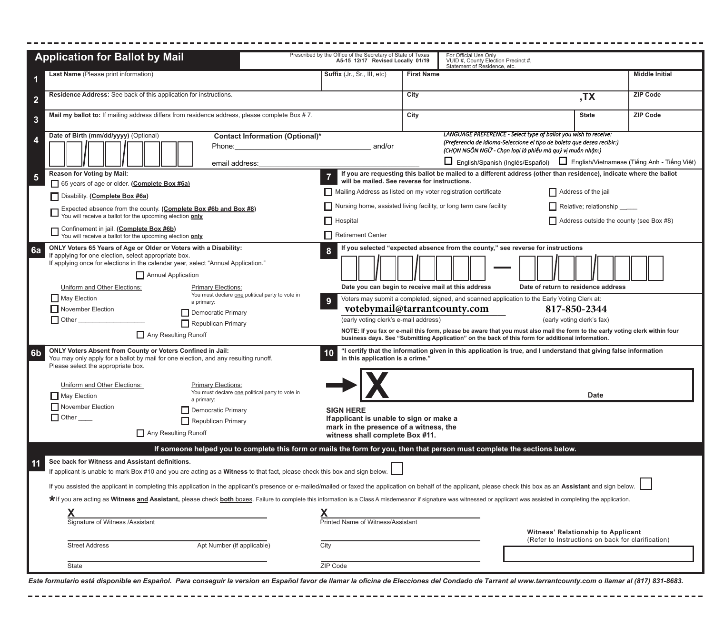|                         | <b>Application for Ballot by Mail</b>                                                                                                                                                                                                                                                                                                                                                                                                                                                                                                                                                                                                                                  | Prescribed by the Office of the Secretary of State of Texas<br>A5-15 12/17 Revised Locally 01/19                                                                                                                               |                   | For Official Use Only<br>VUID #, County Election Precinct #,<br>Statement of Residence, etc.                                                                                                                                                                                                                                                                                                                                                                |                                                                                                       |                       |
|-------------------------|------------------------------------------------------------------------------------------------------------------------------------------------------------------------------------------------------------------------------------------------------------------------------------------------------------------------------------------------------------------------------------------------------------------------------------------------------------------------------------------------------------------------------------------------------------------------------------------------------------------------------------------------------------------------|--------------------------------------------------------------------------------------------------------------------------------------------------------------------------------------------------------------------------------|-------------------|-------------------------------------------------------------------------------------------------------------------------------------------------------------------------------------------------------------------------------------------------------------------------------------------------------------------------------------------------------------------------------------------------------------------------------------------------------------|-------------------------------------------------------------------------------------------------------|-----------------------|
|                         | Last Name (Please print information)                                                                                                                                                                                                                                                                                                                                                                                                                                                                                                                                                                                                                                   | <b>Suffix</b> (Jr., Sr., III, etc)                                                                                                                                                                                             | <b>First Name</b> |                                                                                                                                                                                                                                                                                                                                                                                                                                                             |                                                                                                       | <b>Middle Initial</b> |
| 2                       | Residence Address: See back of this application for instructions.                                                                                                                                                                                                                                                                                                                                                                                                                                                                                                                                                                                                      |                                                                                                                                                                                                                                | City              |                                                                                                                                                                                                                                                                                                                                                                                                                                                             | ,TX                                                                                                   | <b>ZIP Code</b>       |
| $\mathbf{3}$            | Mail my ballot to: If mailing address differs from residence address, please complete Box #7.                                                                                                                                                                                                                                                                                                                                                                                                                                                                                                                                                                          |                                                                                                                                                                                                                                | City              |                                                                                                                                                                                                                                                                                                                                                                                                                                                             | <b>State</b>                                                                                          | <b>ZIP Code</b>       |
| 4                       | Date of Birth (mm/dd/yyyy) (Optional)<br>Contact Information (Optional)*<br>Phone:<br>email address:                                                                                                                                                                                                                                                                                                                                                                                                                                                                                                                                                                   | and/or                                                                                                                                                                                                                         |                   | LANGUAGE PREFERENCE - Select type of ballot you wish to receive:<br>(Preferencia de idioma-Seleccione el tipo de boleta que desea recibir:)<br>(CHON NGÔN NGỮ - Chon loại lá phiếu mà quý vi muốn nhân:)<br>□ English/Spanish (Inglés/Español) □ English/Vietnamese (Tiếng Anh - Tiếng Việt)                                                                                                                                                                |                                                                                                       |                       |
| $\overline{\mathbf{5}}$ | Reason for Voting by Mail:<br>65 years of age or older. (Complete Box #6a)<br>Disability. (Complete Box #6a)<br>Expected absence from the county. (Complete Box #6b and Box #8)<br>You will receive a ballot for the upcoming election only<br>Confinement in jail. (Complete Box #6b)<br>You will receive a ballot for the upcoming election only                                                                                                                                                                                                                                                                                                                     | will be mailed. See reverse for instructions.<br>Mailing Address as listed on my voter registration certificate<br>Nursing home, assisted living facility, or long term care facility<br>$\prod$ Hospital<br>Retirement Center |                   | If you are requesting this ballot be mailed to a different address (other than residence), indicate where the ballot                                                                                                                                                                                                                                                                                                                                        | Address of the jail<br>Relative; relationship _____<br>$\Box$ Address outside the county (see Box #8) |                       |
| 6a                      | ONLY Voters 65 Years of Age or Older or Voters with a Disability:<br>If applying for one election, select appropriate box.<br>If applying once for elections in the calendar year, select "Annual Application."<br>Annual Application<br>Uniform and Other Elections:<br><b>Primary Elections:</b><br>You must declare one political party to vote in<br>$\Box$ May Election<br>a primary:<br>November Election<br>Democratic Primary<br>$\Box$ Other<br>$\prod$ Republican Primary<br>Any Resulting Runoff                                                                                                                                                            | Date you can begin to receive mail at this address<br>9<br>votebymail@tarrantcounty.com<br>(early voting clerk's e-mail address)                                                                                               |                   | If you selected "expected absence from the county," see reverse for instructions<br>Date of return to residence address<br>Voters may submit a completed, signed, and scanned application to the Early Voting Clerk at:<br>NOTE: If you fax or e-mail this form, please be aware that you must also mail the form to the early voting clerk within four<br>business days. See "Submitting Application" on the back of this form for additional information. | 817-850-2344<br>(early voting clerk's fax)                                                            |                       |
| 6 <sub>b</sub>          | <b>ONLY Voters Absent from County or Voters Confined in Jail:</b><br>You may only apply for a ballot by mail for one election, and any resulting runoff.<br>Please select the appropriate box.<br>Uniform and Other Elections:<br><b>Primary Elections:</b><br>You must declare one political party to vote in<br>$\Box$ May Election<br>a primary:                                                                                                                                                                                                                                                                                                                    | in this application is a crime."                                                                                                                                                                                               |                   | "I certify that the information given in this application is true, and I understand that giving false information                                                                                                                                                                                                                                                                                                                                           | <b>Date</b>                                                                                           |                       |
|                         | November Election<br>Democratic Primary<br>$\Box$ Other $\_\_$<br>Republican Primary<br>Any Resulting Runoff<br>If someone helped you to complete this form or mails the form for you, then that person must complete the sections below.                                                                                                                                                                                                                                                                                                                                                                                                                              | <b>SIGN HERE</b><br>If applicant is unable to sign or make a<br>mark in the presence of a witness, the<br>witness shall complete Box #11.                                                                                      |                   |                                                                                                                                                                                                                                                                                                                                                                                                                                                             |                                                                                                       |                       |
|                         | See back for Witness and Assistant definitions.<br>If applicant is unable to mark Box #10 and you are acting as a Witness to that fact, please check this box and sign below.<br>If you assisted the applicant in completing this application in the applicant's presence or e-mailed/mailed or faxed the application on behalf of the applicant, please check this box as an Assistant and sign below.<br>* If you are acting as Witness and Assistant, please check both boxes. Failure to complete this information is a Class A misdemeanor if signature was witnessed or applicant was assisted in completing the application.<br>Signature of Witness /Assistant | Printed Name of Witness/Assistant                                                                                                                                                                                              |                   |                                                                                                                                                                                                                                                                                                                                                                                                                                                             | <b>Witness' Relationship to Applicant</b><br>(Refer to Instructions on back for clarification)        |                       |
|                         | <b>Street Address</b><br>Apt Number (if applicable)<br>State                                                                                                                                                                                                                                                                                                                                                                                                                                                                                                                                                                                                           | City<br>ZIP Code                                                                                                                                                                                                               |                   |                                                                                                                                                                                                                                                                                                                                                                                                                                                             |                                                                                                       |                       |

*Este formulario está disponible en Español. Para conseguir la version en Español favor de llamar la oficina de Elecciones del Condado de Tarrant al www.tarrantcounty.com o llamar al (817) 831-8683.*